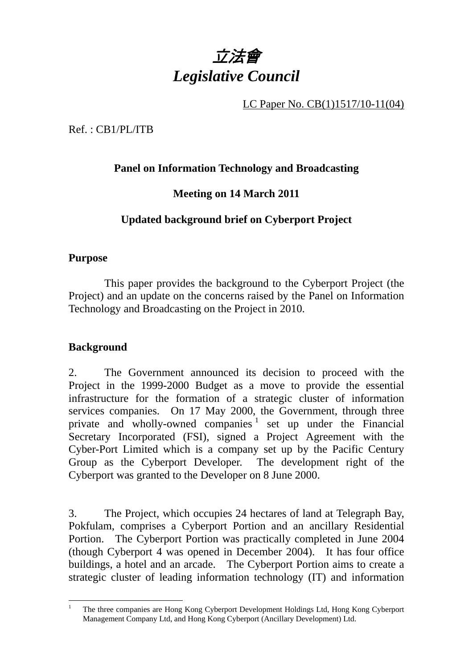

LC Paper No. CB(1)1517/10-11(04)

Ref. : CB1/PL/ITB

## **Panel on Information Technology and Broadcasting**

## **Meeting on 14 March 2011**

## **Updated background brief on Cyberport Project**

#### **Purpose**

 This paper provides the background to the Cyberport Project (the Project) and an update on the concerns raised by the Panel on Information Technology and Broadcasting on the Project in 2010.

## **Background**

2.. The Government announced its decision to proceed with the Project in the 1999-2000 Budget as a move to provide the essential infrastructure for the formation of a strategic cluster of information services companies. On 17 May 2000, the Government, through three private and wholly-owned companies  $\frac{1}{1}$  set up under the Financial Secretary Incorporated (FSI), signed a Project Agreement with the Cyber-Port Limited which is a company set up by the Pacific Century Group as the Cyberport Developer. The development right of the Cyberport was granted to the Developer on 8 June 2000.

3. The Project, which occupies 24 hectares of land at Telegraph Bay, Pokfulam, comprises a Cyberport Portion and an ancillary Residential Portion. The Cyberport Portion was practically completed in June 2004 (though Cyberport 4 was opened in December 2004). It has four office buildings, a hotel and an arcade. The Cyberport Portion aims to create a strategic cluster of leading information technology (IT) and information

 $\overline{a}$ 1 The three companies are Hong Kong Cyberport Development Holdings Ltd, Hong Kong Cyberport Management Company Ltd, and Hong Kong Cyberport (Ancillary Development) Ltd.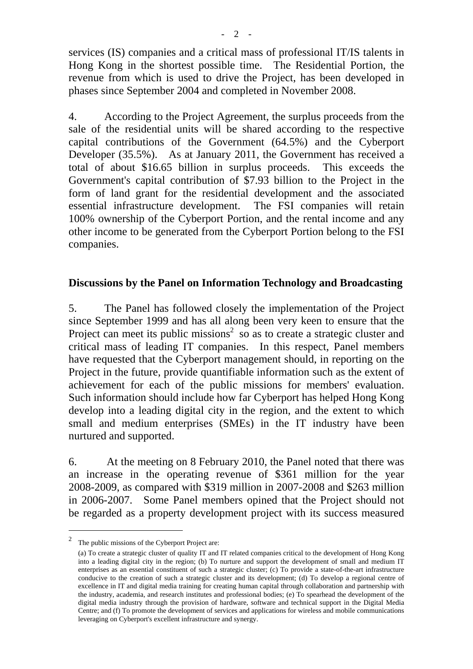services (IS) companies and a critical mass of professional IT/IS talents in Hong Kong in the shortest possible time. The Residential Portion, the revenue from which is used to drive the Project, has been developed in phases since September 2004 and completed in November 2008.

4. According to the Project Agreement, the surplus proceeds from the sale of the residential units will be shared according to the respective capital contributions of the Government (64.5%) and the Cyberport Developer (35.5%). As at January 2011, the Government has received a total of about \$16.65 billion in surplus proceeds. This exceeds the Government's capital contribution of \$7.93 billion to the Project in the form of land grant for the residential development and the associated essential infrastructure development. The FSI companies will retain 100% ownership of the Cyberport Portion, and the rental income and any other income to be generated from the Cyberport Portion belong to the FSI companies.

#### **Discussions by the Panel on Information Technology and Broadcasting**

5. The Panel has followed closely the implementation of the Project since September 1999 and has all along been very keen to ensure that the Project can meet its public missions<sup>2</sup> so as to create a strategic cluster and critical mass of leading IT companies. In this respect, Panel members have requested that the Cyberport management should, in reporting on the Project in the future, provide quantifiable information such as the extent of achievement for each of the public missions for members' evaluation. Such information should include how far Cyberport has helped Hong Kong develop into a leading digital city in the region, and the extent to which small and medium enterprises (SMEs) in the IT industry have been nurtured and supported.

6. At the meeting on 8 February 2010, the Panel noted that there was an increase in the operating revenue of \$361 million for the year 2008-2009, as compared with \$319 million in 2007-2008 and \$263 million in 2006-2007. Some Panel members opined that the Project should not be regarded as a property development project with its success measured

 $\overline{a}$ 

<sup>2</sup> The public missions of the Cyberport Project are:

<sup>(</sup>a) To create a strategic cluster of quality IT and IT related companies critical to the development of Hong Kong into a leading digital city in the region; (b) To nurture and support the development of small and medium IT enterprises as an essential constituent of such a strategic cluster; (c) To provide a state-of-the-art infrastructure conducive to the creation of such a strategic cluster and its development; (d) To develop a regional centre of excellence in IT and digital media training for creating human capital through collaboration and partnership with the industry, academia, and research institutes and professional bodies; (e) To spearhead the development of the digital media industry through the provision of hardware, software and technical support in the Digital Media Centre; and (f) To promote the development of services and applications for wireless and mobile communications leveraging on Cyberport's excellent infrastructure and synergy.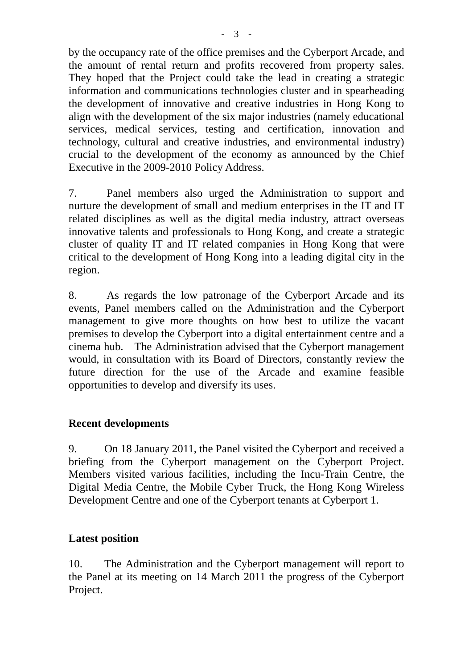by the occupancy rate of the office premises and the Cyberport Arcade, and the amount of rental return and profits recovered from property sales. They hoped that the Project could take the lead in creating a strategic information and communications technologies cluster and in spearheading the development of innovative and creative industries in Hong Kong to align with the development of the six major industries (namely educational services, medical services, testing and certification, innovation and technology, cultural and creative industries, and environmental industry) crucial to the development of the economy as announced by the Chief Executive in the 2009-2010 Policy Address.

7. Panel members also urged the Administration to support and nurture the development of small and medium enterprises in the IT and IT related disciplines as well as the digital media industry, attract overseas innovative talents and professionals to Hong Kong, and create a strategic cluster of quality IT and IT related companies in Hong Kong that were critical to the development of Hong Kong into a leading digital city in the region.

8. As regards the low patronage of the Cyberport Arcade and its events, Panel members called on the Administration and the Cyberport management to give more thoughts on how best to utilize the vacant premises to develop the Cyberport into a digital entertainment centre and a cinema hub. The Administration advised that the Cyberport management would, in consultation with its Board of Directors, constantly review the future direction for the use of the Arcade and examine feasible opportunities to develop and diversify its uses.

## **Recent developments**

9. On 18 January 2011, the Panel visited the Cyberport and received a briefing from the Cyberport management on the Cyberport Project. Members visited various facilities, including the Incu-Train Centre, the Digital Media Centre, the Mobile Cyber Truck, the Hong Kong Wireless Development Centre and one of the Cyberport tenants at Cyberport 1.

#### **Latest position**

10. The Administration and the Cyberport management will report to the Panel at its meeting on 14 March 2011 the progress of the Cyberport Project.